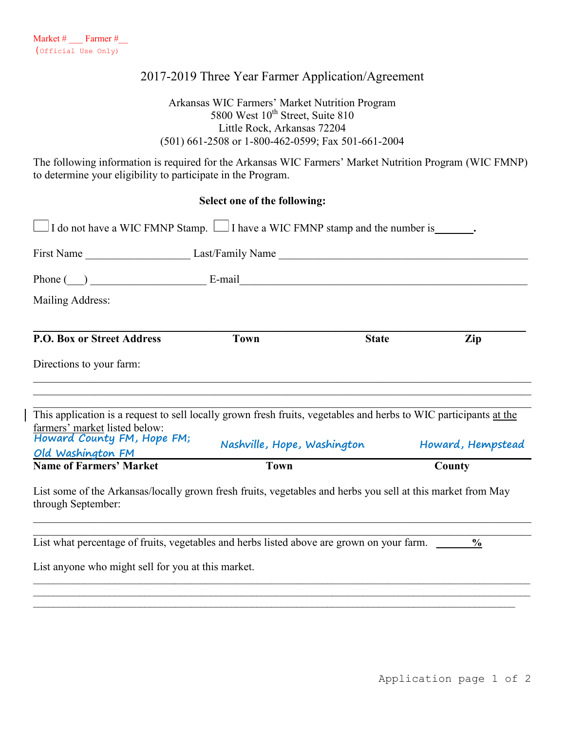### 2017-2019 Three Year Farmer Application/Agreement

#### Arkansas WIC Farmers' Market Nutrition Program 5800 West  $10^{th}$  Street, Suite 810 Little Rock, Arkansas 72204 (501) 661-2508 or 1-800-462-0599; Fax 501-661-2004

The following information is required for the Arkansas WIC Farmers' Market Nutrition Program (WIC FMNP) to determine your eligibility to participate in the Program.

#### **Select one of the following:**

| Phone $(\_)$ E-mail E-mail                                                                                                        |                             |              |                   |
|-----------------------------------------------------------------------------------------------------------------------------------|-----------------------------|--------------|-------------------|
| Mailing Address:                                                                                                                  |                             |              |                   |
| <b>P.O. Box or Street Address</b>                                                                                                 | <b>Town</b>                 | <b>State</b> | Zip               |
| Directions to your farm:                                                                                                          |                             |              |                   |
| This application is a request to sell locally grown fresh fruits, vegetables and herbs to WIC participants at the                 |                             |              |                   |
| farmers' market listed below:<br>Howard County FM, Hope FM;<br>Old Washington FM                                                  | Nashville, Hope, Washington |              | Howard, Hempstead |
| <b>Name of Farmers' Market</b>                                                                                                    | <b>Town</b>                 |              | County            |
| List some of the Arkansas/locally grown fresh fruits, vegetables and herbs you sell at this market from May<br>through September: |                             |              |                   |

 $\mathcal{L}_\mathcal{L} = \mathcal{L}_\mathcal{L} = \mathcal{L}_\mathcal{L} = \mathcal{L}_\mathcal{L} = \mathcal{L}_\mathcal{L} = \mathcal{L}_\mathcal{L} = \mathcal{L}_\mathcal{L} = \mathcal{L}_\mathcal{L} = \mathcal{L}_\mathcal{L} = \mathcal{L}_\mathcal{L} = \mathcal{L}_\mathcal{L} = \mathcal{L}_\mathcal{L} = \mathcal{L}_\mathcal{L} = \mathcal{L}_\mathcal{L} = \mathcal{L}_\mathcal{L} = \mathcal{L}_\mathcal{L} = \mathcal{L}_\mathcal{L}$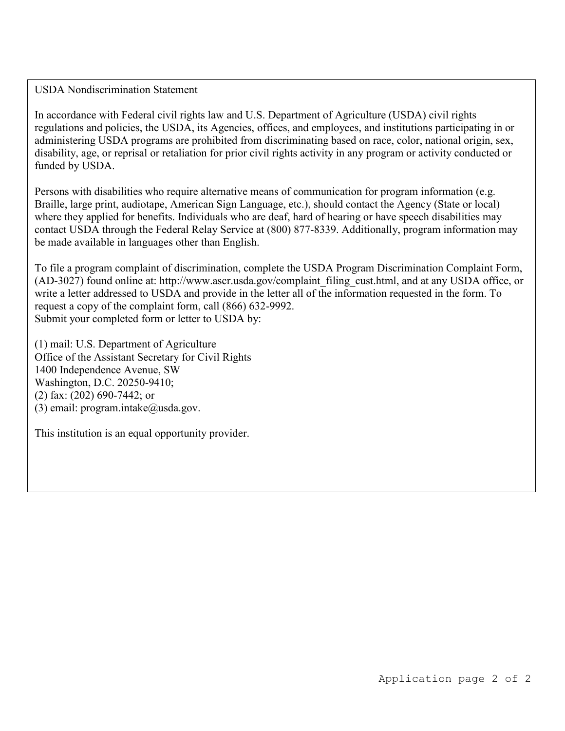USDA Nondiscrimination Statement

In accordance with Federal civil rights law and U.S. Department of Agriculture (USDA) civil rights regulations and policies, the USDA, its Agencies, offices, and employees, and institutions participating in or administering USDA programs are prohibited from discriminating based on race, color, national origin, sex, disability, age, or reprisal or retaliation for prior civil rights activity in any program or activity conducted or funded by USDA.

Persons with disabilities who require alternative means of communication for program information (e.g. Braille, large print, audiotape, American Sign Language, etc.), should contact the Agency (State or local) where they applied for benefits. Individuals who are deaf, hard of hearing or have speech disabilities may contact USDA through the Federal Relay Service at (800) 877-8339. Additionally, program information may be made available in languages other than English.

To file a program complaint of discrimination, complete the USDA Program Discrimination Complaint Form, (AD-3027) found online at: http://www.ascr.usda.gov/complaint\_filing\_cust.html, and at any USDA office, or write a letter addressed to USDA and provide in the letter all of the information requested in the form. To request a copy of the complaint form, call (866) 632-9992. Submit your completed form or letter to USDA by:

(1) mail: U.S. Department of Agriculture Office of the Assistant Secretary for Civil Rights 1400 Independence Avenue, SW Washington, D.C. 20250-9410; (2) fax: (202) 690-7442; or (3) email: program.intake $@$ usda.gov.

This institution is an equal opportunity provider.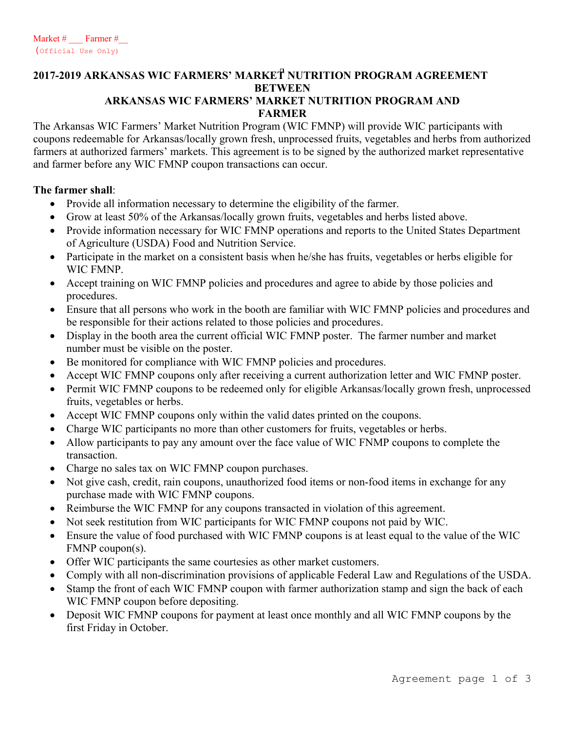# **2017-2019 ARKANSAS WIC FARMERS' MARKET NUTRITION PROGRAM AGREEMENT BETWEEN**

#### **ARKANSAS WIC FARMERS' MARKET NUTRITION PROGRAM AND FARMER**

The Arkansas WIC Farmers' Market Nutrition Program (WIC FMNP) will provide WIC participants with coupons redeemable for Arkansas/locally grown fresh, unprocessed fruits, vegetables and herbs from authorized farmers at authorized farmers' markets. This agreement is to be signed by the authorized market representative and farmer before any WIC FMNP coupon transactions can occur.

#### **The farmer shall**:

- Provide all information necessary to determine the eligibility of the farmer.
- Grow at least 50% of the Arkansas/locally grown fruits, vegetables and herbs listed above.
- Provide information necessary for WIC FMNP operations and reports to the United States Department of Agriculture (USDA) Food and Nutrition Service.
- Participate in the market on a consistent basis when he/she has fruits, vegetables or herbs eligible for WIC FMNP.
- Accept training on WIC FMNP policies and procedures and agree to abide by those policies and procedures.
- Ensure that all persons who work in the booth are familiar with WIC FMNP policies and procedures and be responsible for their actions related to those policies and procedures.
- Display in the booth area the current official WIC FMNP poster. The farmer number and market number must be visible on the poster.
- Be monitored for compliance with WIC FMNP policies and procedures.
- Accept WIC FMNP coupons only after receiving a current authorization letter and WIC FMNP poster.
- Permit WIC FMNP coupons to be redeemed only for eligible Arkansas/locally grown fresh, unprocessed fruits, vegetables or herbs.
- Accept WIC FMNP coupons only within the valid dates printed on the coupons.
- Charge WIC participants no more than other customers for fruits, vegetables or herbs.
- Allow participants to pay any amount over the face value of WIC FNMP coupons to complete the transaction.
- Charge no sales tax on WIC FMNP coupon purchases.
- Not give cash, credit, rain coupons, unauthorized food items or non-food items in exchange for any purchase made with WIC FMNP coupons.
- Reimburse the WIC FMNP for any coupons transacted in violation of this agreement.
- Not seek restitution from WIC participants for WIC FMNP coupons not paid by WIC.
- Ensure the value of food purchased with WIC FMNP coupons is at least equal to the value of the WIC FMNP coupon(s).
- Offer WIC participants the same courtesies as other market customers.
- Comply with all non-discrimination provisions of applicable Federal Law and Regulations of the USDA.
- Stamp the front of each WIC FMNP coupon with farmer authorization stamp and sign the back of each WIC FMNP coupon before depositing.
- Deposit WIC FMNP coupons for payment at least once monthly and all WIC FMNP coupons by the first Friday in October.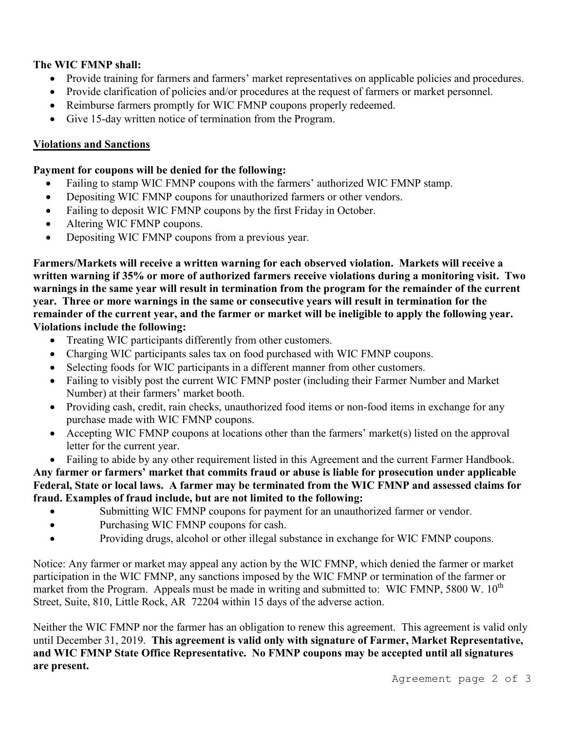#### **The WIC FMNP shall:**

- Provide training for farmers and farmers' market representatives on applicable policies and procedures.
- Provide clarification of policies and/or procedures at the request of farmers or market personnel.
- Reimburse farmers promptly for WIC FMNP coupons properly redeemed.
- Give 15-day written notice of termination from the Program.

#### **Violations and Sanctions**

#### **Payment for coupons will be denied for the following:**

- Failing to stamp WIC FMNP coupons with the farmers' authorized WIC FMNP stamp.
- Depositing WIC FMNP coupons for unauthorized farmers or other vendors.
- Failing to deposit WIC FMNP coupons by the first Friday in October.
- Altering WIC FMNP coupons.
- Depositing WIC FMNP coupons from a previous year.

**Farmers/Markets will receive a written warning for each observed violation. Markets will receive a written warning if 35% or more of authorized farmers receive violations during a monitoring visit. Two warnings in the same year will result in termination from the program for the remainder of the current year. Three or more warnings in the same or consecutive years will result in termination for the remainder of the current year, and the farmer or market will be ineligible to apply the following year. Violations include the following:**

- Treating WIC participants differently from other customers.
- Charging WIC participants sales tax on food purchased with WIC FMNP coupons.
- Selecting foods for WIC participants in a different manner from other customers.
- Failing to visibly post the current WIC FMNP poster (including their Farmer Number and Market Number) at their farmers' market booth.
- Providing cash, credit, rain checks, unauthorized food items or non-food items in exchange for any purchase made with WIC FMNP coupons.
- Accepting WIC FMNP coupons at locations other than the farmers' market(s) listed on the approval letter for the current year.
- Failing to abide by any other requirement listed in this Agreement and the current Farmer Handbook. **Any farmer or farmers' market that commits fraud or abuse is liable for prosecution under applicable**

**Federal, State or local laws. A farmer may be terminated from the WIC FMNP and assessed claims for fraud. Examples of fraud include, but are not limited to the following:**

- Submitting WIC FMNP coupons for payment for an unauthorized farmer or vendor.
- Purchasing WIC FMNP coupons for cash.
- Providing drugs, alcohol or other illegal substance in exchange for WIC FMNP coupons.

Notice: Any farmer or market may appeal any action by the WIC FMNP, which denied the farmer or market participation in the WIC FMNP, any sanctions imposed by the WIC FMNP or termination of the farmer or market from the Program. Appeals must be made in writing and submitted to: WIC FMNP, 5800 W.  $10^{th}$ Street, Suite, 810, Little Rock, AR 72204 within 15 days of the adverse action.

Neither the WIC FMNP nor the farmer has an obligation to renew this agreement. This agreement is valid only until December 31, 2019. **This agreement is valid only with signature of Farmer, Market Representative, and WIC FMNP State Office Representative. No FMNP coupons may be accepted until all signatures are present.**